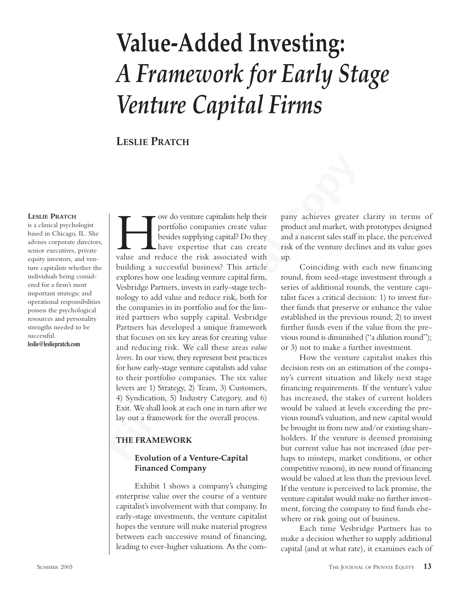# **Value-Added Investing:**  *A Framework for Early Stage Venture Capital Firms*

# **LESLIE PRATCH**

#### **LESLIE PRATCH**

is a clinical psychologist based in Chicago, IL. She advises corporate directors, senior executives, private equity investors, and venture capitalists whether the individuals being considered for a firm's most important strategic and operational responsibilities possess the psychological resources and personality strengths needed to be successful.

**leslie@lesliepratch.com**

**Figure 11** (and we were required<br>in the pair of the pair and the pair of the sides supplying capital? Do they and a nascent sides staff in<br>the capital Contentius Copy and a nascent sides staff in<br>the explores hower leads we do venture capitalists help their<br>portfolio companies create value<br>besides supplying capital? Do they<br>have expertise that can create<br>value and reduce the risk associated with portfolio companies create value besides supplying capital? Do they have expertise that can create building a successful business? This article explores how one leading venture capital firm, Vesbridge Partners, invests in early-stage technology to add value and reduce risk, both for the companies in its portfolio and for the limited partners who supply capital. Vesbridge Partners has developed a unique framework that focuses on six key areas for creating value and reducing risk. We call these areas *value levers*. In our view, they represent best practices for how early-stage venture capitalists add value to their portfolio companies. The six value levers are 1) Strategy, 2) Team, 3) Customers, 4) Syndication, 5) Industry Category, and 6) Exit. We shall look at each one in turn after we lay out a framework for the overall process.

# **THE FRAMEWORK**

# **Evolution of a Venture-Capital Financed Company**

Exhibit 1 shows a company's changing enterprise value over the course of a venture capitalist's involvement with that company. In early-stage investments, the venture capitalist hopes the venture will make material progress between each successive round of financing, leading to ever-higher valuations. As the com-

pany achieves greater clarity in terms of product and market, with prototypes designed and a nascent sales staff in place, the perceived risk of the venture declines and its value goes up.

Coinciding with each new financing round, from seed-stage investment through a series of additional rounds, the venture capitalist faces a critical decision: 1) to invest further funds that preserve or enhance the value established in the previous round; 2) to invest further funds even if the value from the previous round is diminished ("a dilution round"); or 3) not to make a further investment.

How the venture capitalist makes this decision rests on an estimation of the company's current situation and likely next stage financing requirements. If the venture's value has increased, the stakes of current holders would be valued at levels exceeding the previous round's valuation, and new capital would be brought in from new and/or existing shareholders. If the venture is deemed promising but current value has not increased (due perhaps to missteps, market conditions, or other competitive reasons), its new round of financing would be valued at less than the previous level. If the venture is perceived to lack promise, the venture capitalist would make no further investment, forcing the company to find funds elsewhere or risk going out of business.

Each time Vesbridge Partners has to make a decision whether to supply additional capital (and at what rate), it examines each of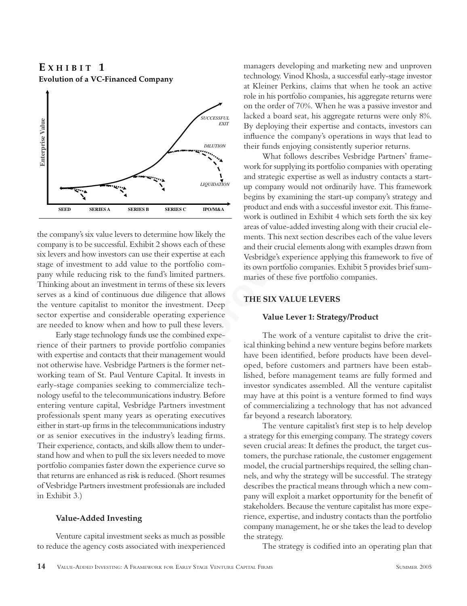# **E XHIBIT 1 Evolution of a VC-Financed Company**



the company's six value levers to determine how likely the company is to be successful. Exhibit 2 shows each of these six levers and how investors can use their expertise at each stage of investment to add value to the portfolio company while reducing risk to the fund's limited partners. Thinking about an investment in terms of these six levers serves as a kind of continuous due diligence that allows the venture capitalist to monitor the investment. Deep sector expertise and considerable operating experience are needed to know when and how to pull these levers.

Early stage technology funds use the combined experience of their partners to provide portfolio companies with expertise and contacts that their management would not otherwise have. Vesbridge Partners is the former networking team of St. Paul Venture Capital. It invests in early-stage companies seeking to commercialize technology useful to the telecommunications industry. Before entering venture capital, Vesbridge Partners investment professionals spent many years as operating executives either in start-up firms in the telecommunications industry or as senior executives in the industry's leading firms. Their experience, contacts, and skills allow them to understand how and when to pull the six levers needed to move portfolio companies faster down the experience curve so that returns are enhanced as risk is reduced. (Short resumes of Vesbridge Partners investment professionals are included in Exhibit 3.)

# **Value-Added Investing**

Venture capital investment seeks as much as possible to reduce the agency costs associated with inexperienced managers developing and marketing new and unproven technology. Vinod Khosla, a successful early-stage investor at Kleiner Perkins, claims that when he took an active role in his portfolio companies, his aggregate returns were on the order of 70%. When he was a passive investor and lacked a board seat, his aggregate returns were only 8%. By deploying their expertise and contacts, investors can influence the company's operations in ways that lead to their funds enjoying consistently superior returns.

Work follows describes Vesbritzering in the same that in the same that is a small of the same time that the same that the same of the same of the same of the same of the same of the same of the same of the same of the same What follows describes Vesbridge Partners' framework for supplying its portfolio companies with operating and strategic expertise as well as industry contacts a startup company would not ordinarily have. This framework begins by examining the start-up company's strategy and product and ends with a successful investor exit. This framework is outlined in Exhibit 4 which sets forth the six key areas of value-added investing along with their crucial elements. This next section describes each of the value levers and their crucial elements along with examples drawn from Vesbridge's experience applying this framework to five of its own portfolio companies. Exhibit 5 provides brief summaries of these five portfolio companies.

# **THE SIX VALUE LEVERS**

## **Value Lever 1: Strategy/Product**

The work of a venture capitalist to drive the critical thinking behind a new venture begins before markets have been identified, before products have been developed, before customers and partners have been established, before management teams are fully formed and investor syndicates assembled. All the venture capitalist may have at this point is a venture formed to find ways of commercializing a technology that has not advanced far beyond a research laboratory.

The venture capitalist's first step is to help develop a strategy for this emerging company. The strategy covers seven crucial areas: It defines the product, the target customers, the purchase rationale, the customer engagement model, the crucial partnerships required, the selling channels, and why the strategy will be successful. The strategy describes the practical means through which a new company will exploit a market opportunity for the benefit of stakeholders. Because the venture capitalist has more experience, expertise, and industry contacts than the portfolio company management, he or she takes the lead to develop the strategy.

The strategy is codified into an operating plan that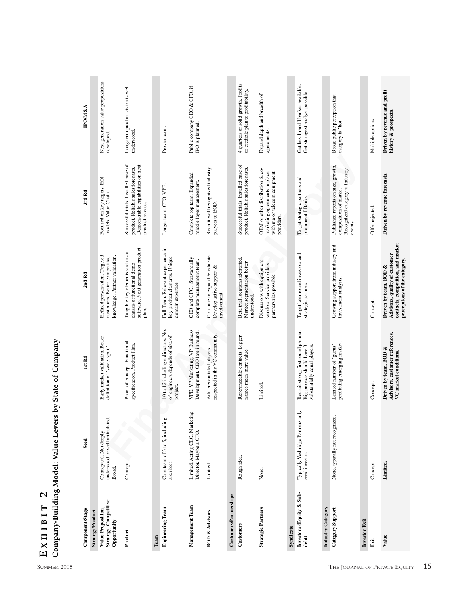| Component/Stage                                            | Seed                                                                | 1st Rd                                                                                            | 2nd Rd                                                                                                                      | 3rd Rd                                                                                                                              | <b>PO/M&amp;A</b>                                                         |
|------------------------------------------------------------|---------------------------------------------------------------------|---------------------------------------------------------------------------------------------------|-----------------------------------------------------------------------------------------------------------------------------|-------------------------------------------------------------------------------------------------------------------------------------|---------------------------------------------------------------------------|
| Strategy/Product                                           |                                                                     |                                                                                                   |                                                                                                                             |                                                                                                                                     |                                                                           |
| Strategy, Competitive<br>Opportunity<br>Value Proposition, | understood or well articulated.<br>Conceptual. Not deeply<br>Broad. | Early market validation. Better<br>definition of "sweet spot."                                    | Refined presentation, Targeted<br>knowledge. Partner validation.<br>customers. Better competitive                           | Focused on key targets. ROI<br>models. Value Chain.                                                                                 | Next generation value propositions<br>developed.                          |
| Product                                                    | Concept.                                                            | Proof of concept. Functional<br>specification. Product Plan.                                      | software. Next generation product<br>Tangible key elements such as a<br>chassis or functional demo<br>plan.                 | Demonstrable capabilities on next<br>Successful trials. Installed base of<br>product. Reliable sales forecasts.<br>product release. | Long-term product vision is well<br>understood.                           |
| Team                                                       |                                                                     |                                                                                                   |                                                                                                                             |                                                                                                                                     |                                                                           |
| <b>Engineering Team</b>                                    | Core team of 3 to 5, including<br>architect.                        | 10 to 12 including e directors. No.<br>of engineers depends of size of<br>project.                | Full Team. Relevant experience in<br>key product elements. Unique<br>domain expertise.                                      | Larger team. CTO. VPE.                                                                                                              | Proven team.                                                              |
| Management Team                                            | Limited, Acting CEO, Marketing<br>Director. Maybe a CTO.            | VPE, VP Marketing, VP Business<br>Development. CEO late in round.                                 | Substantially<br>complete management team.<br>CEO and CFO.                                                                  | Complete top team. Expanded<br>middle layer management.                                                                             | Public company CEO & CFO, if<br>IPO is planned.                           |
| <b>BOD &amp; Advisors</b>                                  | Limited.                                                            | respected in the VC community.<br>Add credentialed players,                                       | Continue to expand & educate.<br>Develop active support &<br>involvement.                                                   | Recruit well recognized industry<br>players to BOD.                                                                                 |                                                                           |
| Customers/Partnerships                                     |                                                                     |                                                                                                   |                                                                                                                             |                                                                                                                                     |                                                                           |
| Customers                                                  | Rough idea.                                                         | Referenceable contacts. Bigger<br>names mean more value.                                          | Beta trial locations identified.<br>Market segmentation better<br>understood.                                               | Successful trials. Installed base of<br>product. Reliable sales forecasts.                                                          | 4 quarters of solid growth. Profits<br>or credible plan to profitability. |
| <b>Strategic Partners</b>                                  | None.                                                               | Limited                                                                                           | Discussions with equipment<br>vendors. Service providers<br>partnerships possible.                                          | OEM or other distribution & co-<br>marketing agreements in place<br>with major telecom equipment<br>providers.                      | Expand depth and breadth of<br>agreements.                                |
| Syndicate                                                  |                                                                     |                                                                                                   |                                                                                                                             |                                                                                                                                     |                                                                           |
| Investors (Equity & Sub-<br>debt)                          | only<br>Typically Vesbridge Partners<br>seed investor.              | Recruit strong first round partner.<br>substantially equal players.<br>Big projects should have 3 | Target later round investors and<br>strategic partners.                                                                     | Target strategic partners and<br>prominent I Banks.                                                                                 | Get best brand I banker available.<br>Get strongest analyst possible.     |
| Industry Category                                          |                                                                     |                                                                                                   |                                                                                                                             |                                                                                                                                     |                                                                           |
| Category Support                                           | None, typically not recognized.                                     | Limited number of "gurus"<br>predicting emerging market.                                          | Growing support from industry and<br>investment analysts.                                                                   | Published reports on size, growth,<br>Recognized category at industry<br>composition of market.<br>events.                          | Broad public perception that<br>category is "hot."                        |
| <b>Investor Exit</b>                                       |                                                                     |                                                                                                   |                                                                                                                             |                                                                                                                                     |                                                                           |
| Exit                                                       | Concept.                                                            | Concept.                                                                                          | Concept.                                                                                                                    | Offer rejected.                                                                                                                     | Multiple options.                                                         |
| Value                                                      | Limited.                                                            | Advisors, customer references,<br>VC market conditions.<br>Driven by team, BOD &                  | contacts, competition, and market<br>perceptions of the category.<br>Advisors, quality of customer<br>Driven by team, BOD & | Driven by revenue forecasts.                                                                                                        | Driven by revenue and profit<br>history & prospects.                      |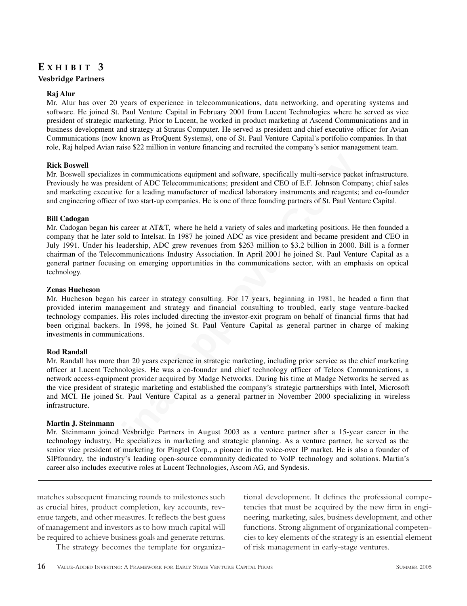# **E XHIBIT 3 Vesbridge Partners**

# **Raj Alur**

Mr. Alur has over 20 years of experience in telecommunications, data networking, and operating systems and software. He joined St. Paul Venture Capital in February 2001 from Lucent Technologies where he served as vice president of strategic marketing. Prior to Lucent, he worked in product marketing at Ascend Communications and in business development and strategy at Stratus Computer. He served as president and chief executive officer for Avian Communications (now known as ProQuent Systems), one of St. Paul Venture Capital's portfolio companies. In that role, Raj helped Avian raise \$22 million in venture financing and recruited the company's senior management team.

# **Rick Boswell**

Mr. Boswell specializes in communications equipment and software, specifically multi-service packet infrastructure. Previously he was president of ADC Telecommunications; president and CEO of E.F. Johnson Company; chief sales and marketing executive for a leading manufacturer of medical laboratory instruments and reagents; and co-founder and engineering officer of two start-up companies. He is one of three founding partners of St. Paul Venture Capital.

## **Bill Cadogan**

Mr. Cadogan began his career at AT&T, where he held a variety of sales and marketing positions. He then founded a company that he later sold to Intelsat. In 1987 he joined ADC as vice president and became president and CEO in July 1991. Under his leadership, ADC grew revenues from \$263 million to \$3.2 billion in 2000. Bill is a former chairman of the Telecommunications Industry Association. In April 2001 he joined St. Paul Venture Capital as a general partner focusing on emerging opportunities in the communications sector, with an emphasis on optical technology.

## **Zenas Hucheson**

Mr. Hucheson began his career in strategy consulting. For 17 years, beginning in 1981, he headed a firm that provided interim management and strategy and financial consulting to troubled, early stage venture-backed technology companies. His roles included directing the investor-exit program on behalf of financial firms that had been original backers. In 1998, he joined St. Paul Venture Capital as general partner in charge of making investments in communications.

# **Rod Randall**

lizes in communications equipment and software, specifically multi-service packet<br>president of ADC Telecommunications; president and CEO of E.F. Johnson Compa<br>utive for a leading manufacturer of medical laboratory instrume Mr. Randall has more than 20 years experience in strategic marketing, including prior service as the chief marketing officer at Lucent Technologies. He was a co-founder and chief technology officer of Teleos Communications, a network access-equipment provider acquired by Madge Networks. During his time at Madge Networks he served as the vice president of strategic marketing and established the company's strategic partnerships with Intel, Microsoft and MCI. He joined St. Paul Venture Capital as a general partner in November 2000 specializing in wireless infrastructure.

## **Martin J. Steinmann**

Mr. Steinmann joined Vesbridge Partners in August 2003 as a venture partner after a 15-year career in the technology industry. He specializes in marketing and strategic planning. As a venture partner, he served as the senior vice president of marketing for Pingtel Corp., a pioneer in the voice-over IP market. He is also a founder of SIPfoundry, the industry's leading open-source community dedicated to VoIP technology and solutions. Martin's career also includes executive roles at Lucent Technologies, Ascom AG, and Syndesis.

matches subsequent financing rounds to milestones such as crucial hires, product completion, key accounts, revenue targets, and other measures. It reflects the best guess of management and investors as to how much capital will be required to achieve business goals and generate returns.

The strategy becomes the template for organiza-

tional development. It defines the professional competencies that must be acquired by the new firm in engineering, marketing, sales, business development, and other functions. Strong alignment of organizational competencies to key elements of the strategy is an essential element of risk management in early-stage ventures.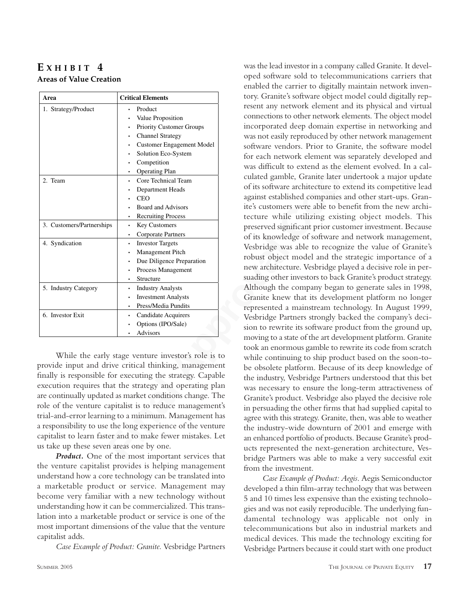# $E$  **XHIBIT** 4 **Areas of Value Creation**

| Area                      | <b>Critical Elements</b>         |
|---------------------------|----------------------------------|
| 1. Strategy/Product       | Product                          |
|                           | Value Proposition                |
|                           | <b>Priority Customer Groups</b>  |
|                           | <b>Channel Strategy</b>          |
|                           | <b>Customer Engagement Model</b> |
|                           | Solution Eco-System              |
|                           | Competition                      |
|                           | <b>Operating Plan</b>            |
| 2. Team                   | Core Technical Team              |
|                           | Department Heads                 |
|                           | <b>CEO</b>                       |
|                           | <b>Board and Advisors</b>        |
|                           | <b>Recruiting Process</b>        |
| 3. Customers/Partnerships | <b>Key Customers</b><br>٠        |
|                           | Corporate Partners               |
| 4. Syndication            | <b>Investor Targets</b><br>٠     |
|                           | <b>Management Pitch</b>          |
|                           | Due Diligence Preparation        |
|                           | Process Management               |
|                           | Structure                        |
| 5. Industry Category      | <b>Industry Analysts</b>         |
|                           | <b>Investment Analysts</b>       |
|                           | Press/Media Pundits              |
| 6. Investor Exit          | <b>Candidate Acquirers</b>       |
|                           | Options (IPO/Sale)               |
|                           | <b>Advisors</b>                  |

While the early stage venture investor's role is to provide input and drive critical thinking, management finally is responsible for executing the strategy. Capable execution requires that the strategy and operating plan are continually updated as market conditions change. The role of the venture capitalist is to reduce management's trial-and-error learning to a minimum. Management has a responsibility to use the long experience of the venture capitalist to learn faster and to make fewer mistakes. Let us take up these seven areas one by one.

*Product.* One of the most important services that the venture capitalist provides is helping management understand how a core technology can be translated into a marketable product or service. Management may become very familiar with a new technology without understanding how it can be commercialized. This translation into a marketable product or service is one of the most important dimensions of the value that the venture capitalist adds.

*Case Example of Product: Granite.* Vesbridge Partners

For exception the company of the metric of the social metric of exercuing Pampament Competition<br> **Final Convergion and the convergion of the convergion of the social Convergion of the Social Convergion of the Social Adviso** was the lead investor in a company called Granite. It developed software sold to telecommunications carriers that enabled the carrier to digitally maintain network inventory. Granite's software object model could digitally represent any network element and its physical and virtual connections to other network elements. The object model incorporated deep domain expertise in networking and was not easily reproduced by other network management software vendors. Prior to Granite, the software model for each network element was separately developed and was difficult to extend as the element evolved. In a calculated gamble, Granite later undertook a major update of its software architecture to extend its competitive lead against established companies and other start-ups. Granite's customers were able to benefit from the new architecture while utilizing existing object models. This preserved significant prior customer investment. Because of its knowledge of software and network management, Vesbridge was able to recognize the value of Granite's robust object model and the strategic importance of a new architecture. Vesbridge played a decisive role in persuading other investors to back Granite's product strategy. Although the company began to generate sales in 1998, Granite knew that its development platform no longer represented a mainstream technology. In August 1999, Vesbridge Partners strongly backed the company's decision to rewrite its software product from the ground up, moving to a state of the art development platform. Granite took an enormous gamble to rewrite its code from scratch while continuing to ship product based on the soon-tobe obsolete platform. Because of its deep knowledge of the industry, Vesbridge Partners understood that this bet was necessary to ensure the long-term attractiveness of Granite's product. Vesbridge also played the decisive role in persuading the other firms that had supplied capital to agree with this strategy. Granite, then, was able to weather the industry-wide downturn of 2001 and emerge with an enhanced portfolio of products. Because Granite's products represented the next-generation architecture, Vesbridge Partners was able to make a very successful exit from the investment.

> *Case Example of Product: Aegis*. Aegis Semiconductor developed a thin film-array technology that was between 5 and 10 times less expensive than the existing technologies and was not easily reproducible. The underlying fundamental technology was applicable not only in telecommunications but also in industrial markets and medical devices. This made the technology exciting for Vesbridge Partners because it could start with one product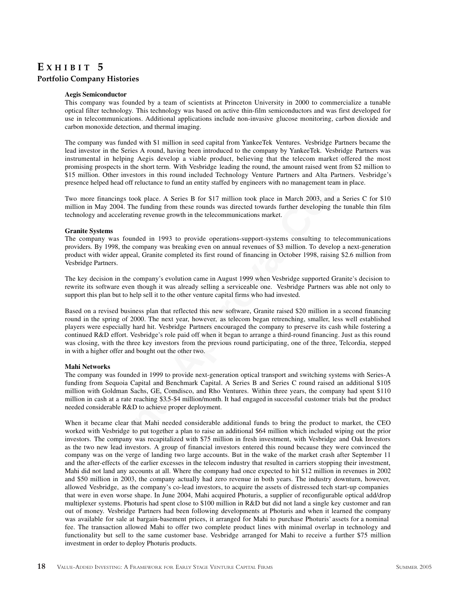# **E XHIBIT 5 Portfolio Company Histories**

#### **Aegis Semiconductor**

This company was founded by a team of scientists at Princeton University in 2000 to commercialize a tunable optical filter technology. This technology was based on active thin-film semiconductors and was first developed for use in telecommunications. Additional applications include non-invasive glucose monitoring, carbon dioxide and carbon monoxide detection, and thermal imaging.

The company was funded with \$1 million in seed capital from YankeeTek Ventures. Vesbridge Partners became the lead investor in the Series A round, having been introduced to the company by YankeeTek. Vesbridge Partners was instrumental in helping Aegis develop a viable product, believing that the telecom market offered the most promising prospects in the short term. With Vesbridge leading the round, the amount raised went from \$2 million to \$15 million. Other investors in this round included Technology Venture Partners and Alta Partners. Vesbridge's presence helped head off reluctance to fund an entity staffed by engineers with no management team in place.

Two more financings took place. A Series B for \$17 million took place in March 2003, and a Series C for \$10 million in May 2004. The funding from these rounds was directed towards further developing the tunable thin film technology and accelerating revenue growth in the telecommunications market.

#### **Granite Systems**

The company was founded in 1993 to provide operations-support-systems consulting to telecommunications providers*.* By 1998, the company was breaking even on annual revenues of \$3 million. To develop a next-generation product with wider appeal, Granite completed its first round of financing in October 1998, raising \$2.6 million from Vesbridge Partners.

The key decision in the company's evolution came in August 1999 when Vesbridge supported Granite's decision to rewrite its software even though it was already selling a serviceable one. Vesbridge Partners was able not only to support this plan but to help sell it to the other venture capital firms who had invested.

n helping Aegis develop a viable product, believing that the telecom market offered helping Aegis develop a viable product, believing this moment offered investors in this round included Technology Venure Partners and Alta Based on a revised business plan that reflected this new software, Granite raised \$20 million in a second financing round in the spring of 2000. The next year, however, as telecom began retrenching, smaller, less well established players were especially hard hit. Vesbridge Partners encouraged the company to preserve its cash while fostering a continued R&D effort. Vesbridge's role paid off when it began to arrange a third-round financing. Just as this round was closing, with the three key investors from the previous round participating, one of the three, Telcordia, stepped in with a higher offer and bought out the other two.

#### **Mahi Networks**

The company was founded in 1999 to provide next-generation optical transport and switching systems with Series-A funding from Sequoia Capital and Benchmark Capital. A Series B and Series C round raised an additional \$105 million with Goldman Sachs, GE, Comdisco, and Rho Ventures. Within three years, the company had spent \$110 million in cash at a rate reaching \$3.5-\$4 million/month. It had engaged in successful customer trials but the product needed considerable R&D to achieve proper deployment.

When it became clear that Mahi needed considerable additional funds to bring the product to market, the CEO worked with Vesbridge to put together a plan to raise an additional \$64 million which included wiping out the prior investors. The company was recapitalized with \$75 million in fresh investment, with Vesbridge and Oak Investors as the two new lead investors. A group of financial investors entered this round because they were convinced the company was on the verge of landing two large accounts. But in the wake of the market crash after September 11 and the after-effects of the earlier excesses in the telecom industry that resulted in carriers stopping their investment, Mahi did not land any accounts at all. Where the company had once expected to hit \$12 million in revenues in 2002 and \$50 million in 2003, the company actually had zero revenue in both years. The industry downturn, however, allowed Vesbridge, as the company's co-lead investors, to acquire the assets of distressed tech start-up companies that were in even worse shape. In June 2004, Mahi acquired Photuris, a supplier of reconfigurable optical add/drop multiplexer systems. Photuris had spent close to \$100 million in R&D but did not land a single key customer and ran out of money. Vesbridge Partners had been following developments at Photuris and when it learned the company was available for sale at bargain-basement prices, it arranged for Mahi to purchase Photuris' assets for a nominal fee. The transaction allowed Mahi to offer two complete product lines with minimal overlap in technology and functionality but sell to the same customer base. Vesbridge arranged for Mahi to receive a further \$75 million investment in order to deploy Photuris products.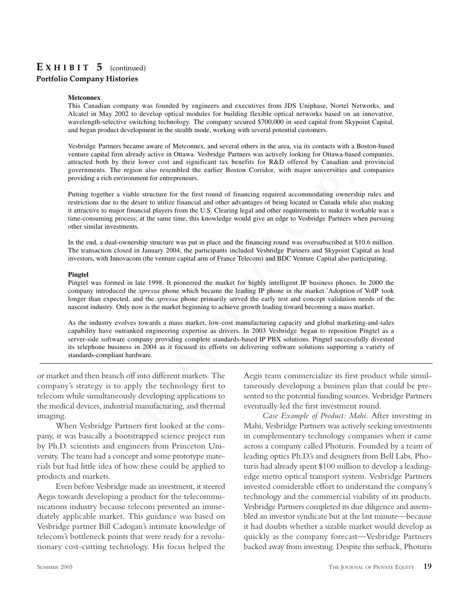# **E XHIBIT 5** (continued) **Portfolio Company Histories**

#### **Metconnex**

This Canadian company was founded by engineers and executives from JDS Uniphase, Nortel Networks, and Alcatel in May 2002 to develop optical modules for building flexible optical networks based on an innovative, wavelength-selective switching technology. The company secured \$700,000 in seed capital from Skypoint Capital, and began product development in the stealth mode, working with several potential customers.

Vesbridge Partners became aware of Metconnex, and several others in the area, via its contacts with a Boston-based venture capital firm already active in Ottawa. Vesbridge Partners was actively looking for Ottawa-based companies, attracted both by their lower cost and significant tax benefits for R&D offered by Canadian and provincial governments. The region also resembled the earlier Boston Corridor, with major universities and companies providing a rich environment for entrepreneurs.

Putting together a viable structure for the first round of financing required accommodating ownership rules and restrictions due to the desire to utilize financial and other advantages of being located in Canada while also making it attractive to major financial players from the U.S. Clearing legal and other requirements to make it workable was a time-consuming process; at the same time, this knowledge would give an edge to Vesbridge Partners when pursuing other similar investments.

In the end, a dual-ownership structure was put in place and the financing round was oversubscribed at \$10.6 million. The transaction closed in January 2004; the participants included Vesbridge Partners and Skypoint Capital as lead investors, with Innovacom (the venture capital arm of France Telecom) and BDC Venture Capital also participating.

#### **Pingtel**

Pingtel was formed in late 1998. It pioneered the market for highly intelligent IP business phones. In 2000 the company introduced the *xpressa* phone which became the leading IP phone in the market.˚Adoption of VoIP took longer than expected, and the *xpressa* phone primarily served the early test and concept validation needs of the nascent industry. Only now is the market beginning to achieve growth leading toward becoming a mass market.

I mm anteraty active in Ottawa. Vesomage ratmes was actively loosing frot Ottawa-based controllar that in the region also resemble the center Boston Corridor, with major universities and the region also resemble the entier As the industry evolves towards a mass market, low-cost manufacturing capacity and global marketing-and-sales capability have outranked engineering expertise as drivers. In 2003 Vesbridge began to reposition Pingtel as a server-side software company providing complete standards-based IP PBX solutions. Pingtel successfully divested its telephone business in 2004 as it focused its efforts on delivering software solutions supporting a variety of standards-compliant hardware.

or market and then branch off into different markets. The company's strategy is to apply the technology first to telecom while simultaneously developing applications to the medical devices, industrial manufacturing, and thermal imaging.

When Vesbridge Partners first looked at the company, it was basically a bootstrapped science project run by Ph.D. scientists and engineers from Princeton University. The team had a concept and some prototype materials but had little idea of how these could be applied to products and markets.

Even before Vesbridge made an investment, it steered Aegis towards developing a product for the telecommunications industry because telecom presented an immediately applicable market. This guidance was based on Vesbridge partner Bill Cadogan's intimate knowledge of telecom's bottleneck points that were ready for a revolutionary cost-cutting technology. His focus helped the

Aegis team commercialize its first product while simultaneously developing a business plan that could be presented to the potential funding sources. Vesbridge Partners eventually led the first investment round.

*Case Example of Product: Mahi.* After investing in Mahi, Vesbridge Partners was actively seeking investments in complementary technology companies when it came across a company called Photuris. Founded by a team of leading optics Ph.D.'s and designers from Bell Labs, Photuris had already spent \$100 million to develop a leadingedge metro optical transport system. Vesbridge Partners invested considerable effort to understand the company's technology and the commercial viability of its products. Vesbridge Partners completed its due diligence and assembled an investor syndicate but at the last minute—because it had doubts whether a sizable market would develop as quickly as the company forecast—Vesbridge Partners backed away from investing. Despite this setback, Photuris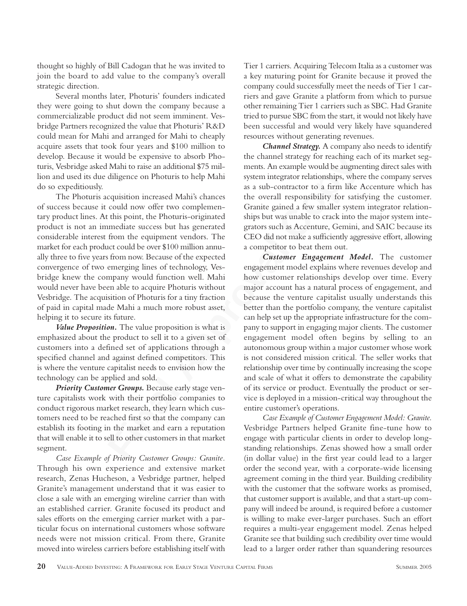thought so highly of Bill Cadogan that he was invited to join the board to add value to the company's overall strategic direction.

Several months later, Photuris' founders indicated they were going to shut down the company because a commercializable product did not seem imminent. Vesbridge Partners recognized the value that Photuris' R&D could mean for Mahi and arranged for Mahi to cheaply acquire assets that took four years and \$100 million to develop. Because it would be expensive to absorb Photuris, Vesbridge asked Mahi to raise an additional \$75 million and used its due diligence on Photuris to help Mahi do so expeditiously.

The Photuris acquisition increased Mahi's chances of success because it could now offer two complementary product lines. At this point, the Photuris-originated product is not an immediate success but has generated considerable interest from the equipment vendors. The market for each product could be over \$100 million annually three to five years from now. Because of the expected convergence of two emerging lines of technology, Vesbridge knew the company would function well. Mahi would never have been able to acquire Photuris without Vesbridge. The acquisition of Photuris for a tiny fraction of paid in capital made Mahi a much more robust asset, helping it to secure its future.

*Value Proposition.* The value proposition is what is emphasized about the product to sell it to a given set of customers into a defined set of applications through a specified channel and against defined competitors. This is where the venture capitalist needs to envision how the technology can be applied and sold.

*Priority Customer Groups.* Because early stage venture capitalists work with their portfolio companies to conduct rigorous market research, they learn which customers need to be reached first so that the company can establish its footing in the market and earn a reputation that will enable it to sell to other customers in that market segment.

*Case Example of Priority Customer Groups: Granite.* Through his own experience and extensive market research, Zenas Hucheson, a Vesbridge partner, helped Granite's management understand that it was easier to close a sale with an emerging wireline carrier than with an established carrier. Granite focused its product and sales efforts on the emerging carrier market with a particular focus on international customers whose software needs were not mission critical. From there, Granite moved into wireless carriers before establishing itself with

Tier 1 carriers. Acquiring Telecom Italia as a customer was a key maturing point for Granite because it proved the company could successfully meet the needs of Tier 1 carriers and gave Granite a platform from which to pursue other remaining Tier 1 carriers such as SBC. Had Granite tried to pursue SBC from the start, it would not likely have been successful and would very likely have squandered resources without generating revenues.

*Channel Strategy.* A company also needs to identify the channel strategy for reaching each of its market segments. An example would be augmenting direct sales with system integrator relationships, where the company serves as a sub-contractor to a firm like Accenture which has the overall responsibility for satisfying the customer. Granite gained a few smaller system integrator relationships but was unable to crack into the major system integrators such as Accenture, Gemini, and SAIC because its CEO did not make a sufficiently aggressive effort, allowing a competitor to beat them out.

would be expensive to absorb Pho-<br>
Mahi to raise an additional 875 mil-<br>
ments. An example would be augment<br>
dilgence on Photuris to help Mahi<br>
ments. An example would be augment<br>
dilgence on Photuris to help Mahi<br>
system *Customer Engagement Model.* The customer engagement model explains where revenues develop and how customer relationships develop over time. Every major account has a natural process of engagement, and because the venture capitalist usually understands this better than the portfolio company, the venture capitalist can help set up the appropriate infrastructure for the company to support in engaging major clients. The customer engagement model often begins by selling to an autonomous group within a major customer whose work is not considered mission critical. The seller works that relationship over time by continually increasing the scope and scale of what it offers to demonstrate the capability of its service or product. Eventually the product or service is deployed in a mission-critical way throughout the entire customer's operations.

*Case Example of Customer Engagement Model: Granite.* Vesbridge Partners helped Granite fine-tune how to engage with particular clients in order to develop longstanding relationships. Zenas showed how a small order (in dollar value) in the first year could lead to a larger order the second year, with a corporate-wide licensing agreement coming in the third year. Building credibility with the customer that the software works as promised, that customer support is available, and that a start-up company will indeed be around, is required before a customer is willing to make ever-larger purchases. Such an effort requires a multi-year engagement model. Zenas helped Granite see that building such credibility over time would lead to a larger order rather than squandering resources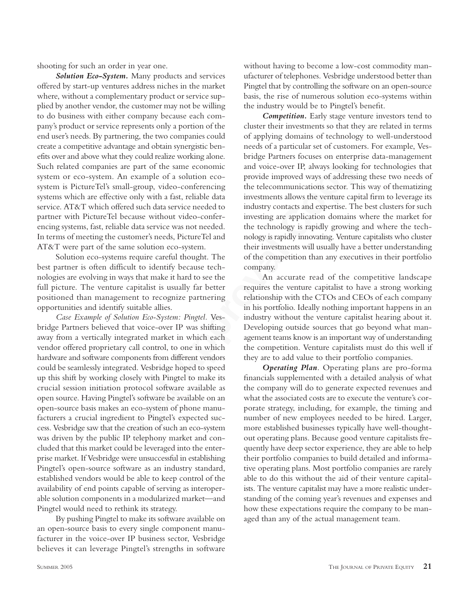shooting for such an order in year one.

*Solution Eco-System.* Many products and services offered by start-up ventures address niches in the market where, without a complementary product or service supplied by another vendor, the customer may not be willing to do business with either company because each company's product or service represents only a portion of the end user's needs. By partnering, the two companies could create a competitive advantage and obtain synergistic benefits over and above what they could realize working alone. Such related companies are part of the same economic system or eco-system. An example of a solution ecosystem is PictureTel's small-group, video-conferencing systems which are effective only with a fast, reliable data service. AT&T which offered such data service needed to partner with PictureTel because without video-conferencing systems, fast, reliable data service was not needed. In terms of meeting the customer's needs, PictureTel and AT&T were part of the same solution eco-system.

Solution eco-systems require careful thought. The best partner is often difficult to identify because technologies are evolving in ways that make it hard to see the full picture. The venture capitalist is usually far better positioned than management to recognize partnering opportunities and identify suitable allies.

that they could realize working alone. bridge Partners focuses on enterprisions are principle and voice-over IP, always looking for the same promotion and voice-over IP, always looking for the same of a solution eco-<br>provi *Case Example of Solution Eco-System: Pingtel.* Vesbridge Partners believed that voice-over IP was shifting away from a vertically integrated market in which each vendor offered proprietary call control, to one in which hardware and software components from different vendors could be seamlessly integrated. Vesbridge hoped to speed up this shift by working closely with Pingtel to make its crucial session initiation protocol software available as open source. Having Pingtel's software be available on an open-source basis makes an eco-system of phone manufacturers a crucial ingredient to Pingtel's expected success. Vesbridge saw that the creation of such an eco-system was driven by the public IP telephony market and concluded that this market could be leveraged into the enterprise market. If Vesbridge were unsuccessful in establishing Pingtel's open-source software as an industry standard, established vendors would be able to keep control of the availability of end points capable of serving as interoperable solution components in a modularized market—and Pingtel would need to rethink its strategy.

By pushing Pingtel to make its software available on an open-source basis to every single component manufacturer in the voice-over IP business sector, Vesbridge believes it can leverage Pingtel's strengths in software

without having to become a low-cost commodity manufacturer of telephones. Vesbridge understood better than Pingtel that by controlling the software on an open-source basis, the rise of numerous solution eco-systems within the industry would be to Pingtel's benefit.

*Competition.* Early stage venture investors tend to cluster their investments so that they are related in terms of applying domains of technology to well-understood needs of a particular set of customers. For example, Vesbridge Partners focuses on enterprise data-management and voice-over IP, always looking for technologies that provide improved ways of addressing these two needs of the telecommunications sector. This way of thematizing investments allows the venture capital firm to leverage its industry contacts and expertise. The best clusters for such investing are application domains where the market for the technology is rapidly growing and where the technology is rapidly innovating. Venture capitalists who cluster their investments will usually have a better understanding of the competition than any executives in their portfolio company.

An accurate read of the competitive landscape requires the venture capitalist to have a strong working relationship with the CTOs and CEOs of each company in his portfolio. Ideally nothing important happens in an industry without the venture capitalist hearing about it. Developing outside sources that go beyond what management teams know is an important way of understanding the competition. Venture capitalists must do this well if they are to add value to their portfolio companies.

*Operating Plan*. Operating plans are pro-forma financials supplemented with a detailed analysis of what the company will do to generate expected revenues and what the associated costs are to execute the venture's corporate strategy, including, for example, the timing and number of new employees needed to be hired. Larger, more established businesses typically have well-thoughtout operating plans. Because good venture capitalists frequently have deep sector experience, they are able to help their portfolio companies to build detailed and informative operating plans. Most portfolio companies are rarely able to do this without the aid of their venture capitalists. The venture capitalist may have a more realistic understanding of the coming year's revenues and expenses and how these expectations require the company to be managed than any of the actual management team.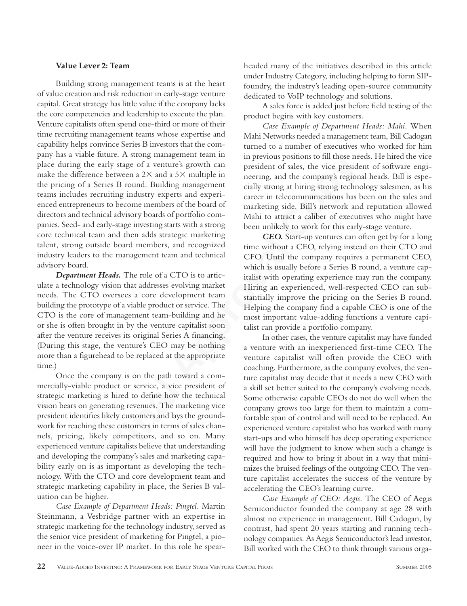# **Value Lever 2: Team**

Building strong management teams is at the heart of value creation and risk reduction in early-stage venture capital. Great strategy has little value if the company lacks the core competencies and leadership to execute the plan. Venture capitalists often spend one-third or more of their time recruiting management teams whose expertise and capability helps convince Series B investors that the company has a viable future. A strong management team in place during the early stage of a venture's growth can make the difference between a  $2\times$  and a  $5\times$  multiple in the pricing of a Series B round. Building management teams includes recruiting industry experts and experienced entrepreneurs to become members of the board of directors and technical advisory boards of portfolio companies. Seed- and early-stage investing starts with a strong core technical team and then adds strategic marketing talent, strong outside board members, and recognized industry leaders to the management team and technical advisory board.

*Department Heads.* The role of a CTO is to articulate a technology vision that addresses evolving market needs. The CTO oversees a core development team building the prototype of a viable product or service. The CTO is the core of management team-building and he or she is often brought in by the venture capitalist soon after the venture receives its original Series A financing. (During this stage, the venture's CEO may be nothing more than a figurehead to be replaced at the appropriate time.)

Once the company is on the path toward a commercially-viable product or service, a vice president of strategic marketing is hired to define how the technical vision bears on generating revenues. The marketing vice president identifies likely customers and lays the groundwork for reaching these customers in terms of sales channels, pricing, likely competitors, and so on. Many experienced venture capitalists believe that understanding and developing the company's sales and marketing capability early on is as important as developing the technology. With the CTO and core development team and strategic marketing capability in place, the Series B valuation can be higher.

*Case Example of Department Heads: Pingtel.* Martin Steinmann, a Vesbridge partner with an expertise in strategic marketing for the technology industry, served as the senior vice president of marketing for Pingtel, a pioneer in the voice-over IP market. In this role he spearheaded many of the initiatives described in this article under Industry Category, including helping to form SIPfoundry, the industry's leading open-source community dedicated to VoIP technology and solutions.

A sales force is added just before field testing of the product begins with key customers.

*Case Example of Department Heads: Mahi*. When Mahi Networks needed a management team, Bill Cadogan turned to a number of executives who worked for him in previous positions to fill those needs. He hired the vice president of sales, the vice president of software engineering, and the company's regional heads. Bill is especially strong at hiring strong technology salesmen, as his career in telecommunications has been on the sales and marketing side. Bill's network and reputation allowed Mahi to attract a caliber of executives who might have been unlikely to work for this early-stage venture.

*CEO.* Start-up ventures can often get by for a long time without a CEO, relying instead on their CTO and CFO. Until the company requires a permanent CEO, which is usually before a Series B round, a venture capitalist with operating experience may run the company. Hiring an experienced, well-respected CEO can substantially improve the pricing on the Series B round. Helping the company find a capable CEO is one of the most important value-adding functions a venture capitalist can provide a portfolio company.

Find management team in previus positions to fill those needs<br>of a venture's growth can<br>president of sales, the vice president<br>extrema a 2× and a 5× multiple in neering, and the company's regional<br>diaty stage of a venture' In other cases, the venture capitalist may have funded a venture with an inexperienced first-time CEO. The venture capitalist will often provide the CEO with coaching. Furthermore, as the company evolves, the venture capitalist may decide that it needs a new CEO with a skill set better suited to the company's evolving needs. Some otherwise capable CEOs do not do well when the company grows too large for them to maintain a comfortable span of control and will need to be replaced. An experienced venture capitalist who has worked with many start-ups and who himself has deep operating experience will have the judgment to know when such a change is required and how to bring it about in a way that minimizes the bruised feelings of the outgoing CEO. The venture capitalist accelerates the success of the venture by accelerating the CEO's learning curve.

> *Case Example of CEO: Aegis*. The CEO of Aegis Semiconductor founded the company at age 28 with almost no experience in management. Bill Cadogan, by contrast, had spent 20 years starting and running technology companies. As Aegis Semiconductor's lead investor, Bill worked with the CEO to think through various orga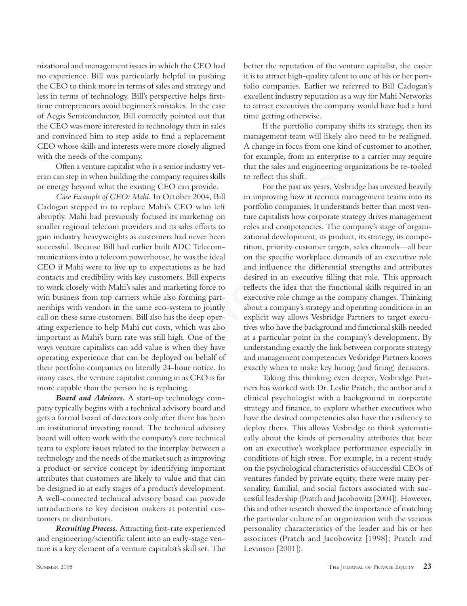nizational and management issues in which the CEO had no experience. Bill was particularly helpful in pushing the CEO to think more in terms of sales and strategy and less in terms of technology. Bill's perspective helps firsttime entrepreneurs avoid beginner's mistakes. In the case of Aegis Semiconductor, Bill correctly pointed out that the CEO was more interested in technology than in sales and convinced him to step aside to find a replacement CEO whose skills and interests were more closely aligned with the needs of the company.

Often a venture capitalist who is a senior industry veteran can step in when building the company requires skills or energy beyond what the existing CEO can provide.

company. The complete from an enterptise to a company coinceant the exists and equiderating the company requires skills to reflect this shift. FIGEO can provide. For the pass is wears, Vesbridge Cord and the exists paramet *Case Example of CEO: Mahi.* In October 2004, Bill Cadogan stepped in to replace Mahi's CEO who left abruptly. Mahi had previously focused its marketing on smaller regional telecom providers and its sales efforts to gain industry heavyweights as customers had never been successful. Because Bill had earlier built ADC Telecommunications into a telecom powerhouse, he was the ideal CEO if Mahi were to live up to expectations as he had contacts and credibility with key customers. Bill expects to work closely with Mahi's sales and marketing force to win business from top carriers while also forming partnerships with vendors in the same eco-system to jointly call on these same customers. Bill also has the deep operating experience to help Mahi cut costs, which was also important as Mahi's burn rate was still high. One of the ways venture capitalists can add value is when they have operating experience that can be deployed on behalf of their portfolio companies on literally 24-hour notice. In many cases, the venture capitalist coming in as CEO is far more capable than the person he is replacing.

*Board and Advisors.* A start-up technology company typically begins with a technical advisory board and gets a formal board of directors only after there has been an institutional investing round. The technical advisory board will often work with the company's core technical team to explore issues related to the interplay between a technology and the needs of the market such as improving a product or service concept by identifying important attributes that customers are likely to value and that can be designed in at early stages of a product's development. A well-connected technical advisory board can provide introductions to key decision makers at potential customers or distributors.

*Recruiting Process.* Attracting first-rate experienced and engineering/scientific talent into an early-stage venture is a key element of a venture capitalist's skill set. The better the reputation of the venture capitalist, the easier it is to attract high-quality talent to one of his or her portfolio companies. Earlier we referred to Bill Cadogan's excellent industry reputation as a way for Mahi Networks to attract executives the company would have had a hard time getting otherwise.

If the portfolio company shifts its strategy, then its management team will likely also need to be realigned. A change in focus from one kind of customer to another, for example, from an enterprise to a carrier may require that the sales and engineering organizations be re-tooled to reflect this shift.

For the past six years, Vesbridge has invested heavily in improving how it recruits management teams into its portfolio companies. It understands better than most venture capitalists how corporate strategy drives management roles and competencies. The company's stage of organizational development, its product, its strategy, its competition, priority customer targets, sales channels—all bear on the specific workplace demands of an executive role and influence the differential strengths and attributes desired in an executive filling that role. This approach reflects the idea that the functional skills required in an executive role change as the company changes. Thinking about a company's strategy and operating conditions in an explicit way allows Vesbridge Partners to target executives who have the background and functional skills needed at a particular point in the company's development. By understanding exactly the link between corporate strategy and management competencies Vesbridge Partners knows exactly when to make key hiring (and firing) decisions.

Taking this thinking even deeper, Vesbridge Partners has worked with Dr. Leslie Pratch, the author and a clinical psychologist with a background in corporate strategy and finance, to explore whether executives who have the desired competencies also have the resiliency to deploy them. This allows Vesbridge to think systematically about the kinds of personality attributes that bear on an executive's workplace performance especially in conditions of high stress. For example, in a recent study on the psychological characteristics of successful CEOs of ventures funded by private equity, there were many personality, familial, and social factors associated with successful leadership (Pratch and Jacobowitz [2004]). However, this and other research showed the importance of matching the particular culture of an organization with the various personality characteristics of the leader and his or her associates (Pratch and Jacobowitz [1998]; Pratch and Levinson [2001]).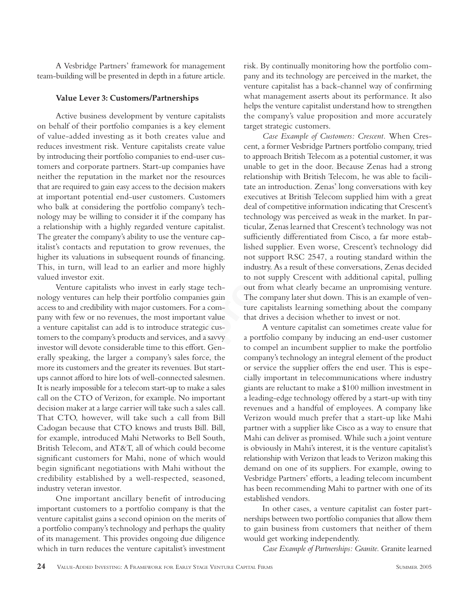A Vesbridge Partners' framework for management team-building will be presented in depth in a future article.

## **Value Lever 3: Customers/Partnerships**

Active business development by venture capitalists on behalf of their portfolio companies is a key element of value-added investing as it both creates value and reduces investment risk. Venture capitalists create value by introducing their portfolio companies to end-user customers and corporate partners. Start-up companies have neither the reputation in the market nor the resources that are required to gain easy access to the decision makers at important potential end-user customers. Customers who balk at considering the portfolio company's technology may be willing to consider it if the company has a relationship with a highly regarded venture capitalist. The greater the company's ability to use the venture capitalist's contacts and reputation to grow revenues, the higher its valuations in subsequent rounds of financing. This, in turn, will lead to an earlier and more highly valued investor exit.

or orticolic comparais to end-user cus-<br>
partners. Start-up comparies have do appretens as poetern as a poetern<br>
partners. Start-up comparies have unable to get in the door. Because<br>
in interactive row the decision makers Venture capitalists who invest in early stage technology ventures can help their portfolio companies gain access to and credibility with major customers. For a company with few or no revenues, the most important value a venture capitalist can add is to introduce strategic customers to the company's products and services, and a savvy investor will devote considerable time to this effort. Generally speaking, the larger a company's sales force, the more its customers and the greater its revenues. But startups cannot afford to hire lots of well-connected salesmen. It is nearly impossible for a telecom start-up to make a sales call on the CTO of Verizon, for example. No important decision maker at a large carrier will take such a sales call. That CTO, however, will take such a call from Bill Cadogan because that CTO knows and trusts Bill. Bill, for example, introduced Mahi Networks to Bell South, British Telecom, and AT&T, all of which could become significant customers for Mahi, none of which would begin significant negotiations with Mahi without the credibility established by a well-respected, seasoned, industry veteran investor.

One important ancillary benefit of introducing important customers to a portfolio company is that the venture capitalist gains a second opinion on the merits of a portfolio company's technology and perhaps the quality of its management. This provides ongoing due diligence which in turn reduces the venture capitalist's investment

risk. By continually monitoring how the portfolio company and its technology are perceived in the market, the venture capitalist has a back-channel way of confirming what management asserts about its performance. It also helps the venture capitalist understand how to strengthen the company's value proposition and more accurately target strategic customers.

*Case Example of Customers: Crescent.* When Crescent, a former Vesbridge Partners portfolio company, tried to approach British Telecom as a potential customer, it was unable to get in the door. Because Zenas had a strong relationship with British Telecom, he was able to facilitate an introduction. Zenas' long conversations with key executives at British Telecom supplied him with a great deal of competitive information indicating that Crescent's technology was perceived as weak in the market. In particular, Zenas learned that Crescent's technology was not sufficiently differentiated from Cisco, a far more established supplier. Even worse, Crescent's technology did not support RSC 2547, a routing standard within the industry. As a result of these conversations, Zenas decided to not supply Crescent with additional capital, pulling out from what clearly became an unpromising venture. The company later shut down. This is an example of venture capitalists learning something about the company that drives a decision whether to invest or not.

A venture capitalist can sometimes create value for a portfolio company by inducing an end-user customer to compel an incumbent supplier to make the portfolio company's technology an integral element of the product or service the supplier offers the end user. This is especially important in telecommunications where industry giants are reluctant to make a \$100 million investment in a leading-edge technology offered by a start-up with tiny revenues and a handful of employees. A company like Verizon would much prefer that a start-up like Mahi partner with a supplier like Cisco as a way to ensure that Mahi can deliver as promised. While such a joint venture is obviously in Mahi's interest, it is the venture capitalist's relationship with Verizon that leads to Verizon making this demand on one of its suppliers. For example, owing to Vesbridge Partners' efforts, a leading telecom incumbent has been recommending Mahi to partner with one of its established vendors.

In other cases, a venture capitalist can foster partnerships between two portfolio companies that allow them to gain business from customers that neither of them would get working independently.

*Case Example of Partnerships: Granite.* Granite learned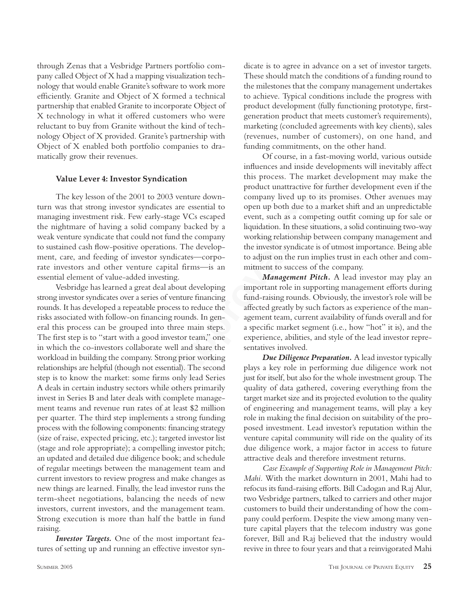through Zenas that a Vesbridge Partners portfolio company called Object of X had a mapping visualization technology that would enable Granite's software to work more efficiently. Granite and Object of X formed a technical partnership that enabled Granite to incorporate Object of X technology in what it offered customers who were reluctant to buy from Granite without the kind of technology Object of X provided. Granite's partnership with Object of X enabled both portfolio companies to dramatically grow their revenues.

## **Value Lever 4: Investor Syndication**

The key lesson of the 2001 to 2003 venture downturn was that strong investor syndicates are essential to managing investment risk. Few early-stage VCs escaped the nightmare of having a solid company backed by a weak venture syndicate that could not fund the company to sustained cash flow-positive operations. The development, care, and feeding of investor syndicates—corporate investors and other venture capital firms—is an essential element of value-added investing.

From the state of course, in a fast-moving work<br>influences and inside developments<br>that the state of the 2001 to 2003 venture down-<br>product unattractive for further developments<br>investor syndicates are essential to open up Vesbridge has learned a great deal about developing strong investor syndicates over a series of venture financing rounds. It has developed a repeatable process to reduce the risks associated with follow-on financing rounds. In general this process can be grouped into three main steps. The first step is to "start with a good investor team," one in which the co-investors collaborate well and share the workload in building the company. Strong prior working relationships are helpful (though not essential). The second step is to know the market: some firms only lead Series A deals in certain industry sectors while others primarily invest in Series B and later deals with complete management teams and revenue run rates of at least \$2 million per quarter. The third step implements a strong funding process with the following components: financing strategy (size of raise, expected pricing, etc.); targeted investor list (stage and role appropriate); a compelling investor pitch; an updated and detailed due diligence book; and schedule of regular meetings between the management team and current investors to review progress and make changes as new things are learned. Finally, the lead investor runs the term-sheet negotiations, balancing the needs of new investors, current investors, and the management team. Strong execution is more than half the battle in fund raising.

*Investor Targets.* One of the most important features of setting up and running an effective investor syndicate is to agree in advance on a set of investor targets. These should match the conditions of a funding round to the milestones that the company management undertakes to achieve. Typical conditions include the progress with product development (fully functioning prototype, firstgeneration product that meets customer's requirements), marketing (concluded agreements with key clients), sales (revenues, number of customers), on one hand, and funding commitments, on the other hand.

Of course, in a fast-moving world, various outside influences and inside developments will inevitably affect this process. The market development may make the product unattractive for further development even if the company lived up to its promises. Other avenues may open up both due to a market shift and an unpredictable event, such as a competing outfit coming up for sale or liquidation. In these situations, a solid continuing two-way working relationship between company management and the investor syndicate is of utmost importance. Being able to adjust on the run implies trust in each other and commitment to success of the company.

*Management Pitch.* A lead investor may play an important role in supporting management efforts during fund-raising rounds. Obviously, the investor's role will be affected greatly by such factors as experience of the management team, current availability of funds overall and for a specific market segment (i.e., how "hot" it is), and the experience, abilities, and style of the lead investor representatives involved.

*Due Diligence Preparation.* A lead investor typically plays a key role in performing due diligence work not just for itself, but also for the whole investment group. The quality of data gathered, covering everything from the target market size and its projected evolution to the quality of engineering and management teams, will play a key role in making the final decision on suitability of the proposed investment. Lead investor's reputation within the venture capital community will ride on the quality of its due diligence work, a major factor in access to future attractive deals and therefore investment returns.

*Case Example of Supporting Role in Management Pitch: Mahi.* With the market downturn in 2001, Mahi had to refocus its fund-raising efforts. Bill Cadogan and Raj Alur, two Vesbridge partners, talked to carriers and other major customers to build their understanding of how the company could perform. Despite the view among many venture capital players that the telecom industry was gone forever, Bill and Raj believed that the industry would revive in three to four years and that a reinvigorated Mahi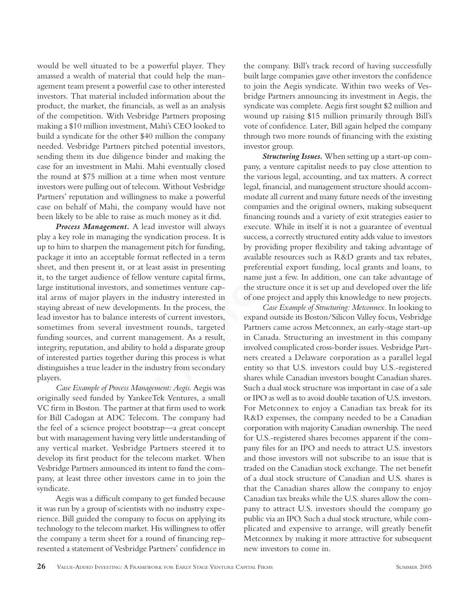would be well situated to be a powerful player. They amassed a wealth of material that could help the management team present a powerful case to other interested investors. That material included information about the product, the market, the financials, as well as an analysis of the competition. With Vesbridge Partners proposing making a \$10 million investment, Mahi's CEO looked to build a syndicate for the other \$40 million the company needed. Vesbridge Partners pitched potential investors, sending them its due diligence binder and making the case for an investment in Mahi. Mahi eventually closed the round at \$75 million at a time when most venture investors were pulling out of telecom. Without Vesbridge Partners' reputation and willingness to make a powerful case on behalf of Mahi, the company would have not been likely to be able to raise as much money as it did.

e diligence binder and making the are structing *Ssate.* When setting the condenties and the particulation at a time when most venture the various legal, accounting, and ta in the various legal, correct the various legal *Process Management.* A lead investor will always play a key role in managing the syndication process. It is up to him to sharpen the management pitch for funding, package it into an acceptable format reflected in a term sheet, and then present it, or at least assist in presenting it, to the target audience of fellow venture capital firms, large institutional investors, and sometimes venture capital arms of major players in the industry interested in staying abreast of new developments. In the process, the lead investor has to balance interests of current investors, sometimes from several investment rounds, targeted funding sources, and current management. As a result, integrity, reputation, and ability to hold a disparate group of interested parties together during this process is what distinguishes a true leader in the industry from secondary players.

*Case Example of Process Management: Aegis.* Aegis was originally seed funded by YankeeTek Ventures, a small VC firm in Boston. The partner at that firm used to work for Bill Cadogan at ADC Telecom. The company had the feel of a science project bootstrap—a great concept but with management having very little understanding of any vertical market. Vesbridge Partners steered it to develop its first product for the telecom market. When Vesbridge Partners announced its intent to fund the company, at least three other investors came in to join the syndicate.

Aegis was a difficult company to get funded because it was run by a group of scientists with no industry experience. Bill guided the company to focus on applying its technology to the telecom market. His willingness to offer the company a term sheet for a round of financing represented a statement of Vesbridge Partners' confidence in

the company. Bill's track record of having successfully built large companies gave other investors the confidence to join the Aegis syndicate. Within two weeks of Vesbridge Partners announcing its investment in Aegis, the syndicate was complete. Aegis first sought \$2 million and wound up raising \$15 million primarily through Bill's vote of confidence. Later, Bill again helped the company through two more rounds of financing with the existing investor group.

*Structuring Issues.* When setting up a start-up company, a venture capitalist needs to pay close attention to the various legal, accounting, and tax matters. A correct legal, financial, and management structure should accommodate all current and many future needs of the investing companies and the original owners, making subsequent financing rounds and a variety of exit strategies easier to execute. While in itself it is not a guarantee of eventual success, a correctly structured entity adds value to investors by providing proper flexibility and taking advantage of available resources such as R&D grants and tax rebates, preferential export funding, local grants and loans, to name just a few. In addition, one can take advantage of the structure once it is set up and developed over the life of one project and apply this knowledge to new projects.

*Case Example of Structuring: Metconnex.* In looking to expand outside its Boston/Silicon Valley focus, Vesbridge Partners came across Metconnex, an early-stage start-up in Canada. Structuring an investment in this company involved complicated cross-border issues. Vesbridge Partners created a Delaware corporation as a parallel legal entity so that U.S. investors could buy U.S.-registered shares while Canadian investors bought Canadian shares. Such a dual stock structure was important in case of a sale or IPO as well as to avoid double taxation of U.S. investors. For Metconnex to enjoy a Canadian tax break for its R&D expenses, the company needed to be a Canadian corporation with majority Canadian ownership. The need for U.S.-registered shares becomes apparent if the company files for an IPO and needs to attract U.S. investors and those investors will not subscribe to an issue that is traded on the Canadian stock exchange. The net benefit of a dual stock structure of Canadian and U.S. shares is that the Canadian shares allow the company to enjoy Canadian tax breaks while the U.S. shares allow the company to attract U.S. investors should the company go public via an IPO. Such a dual stock structure, while complicated and expensive to arrange, will greatly benefit Metconnex by making it more attractive for subsequent new investors to come in.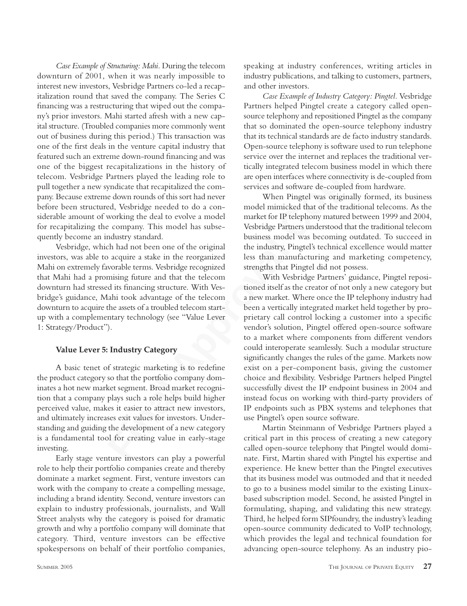*Case Example of Structuring: Mahi.* During the telecom downturn of 2001, when it was nearly impossible to interest new investors, Vesbridge Partners co-led a recapitalization round that saved the company. The Series C financing was a restructuring that wiped out the company's prior investors. Mahi started afresh with a new capital structure. (Troubled companies more commonly went out of business during this period.) This transaction was one of the first deals in the venture capital industry that featured such an extreme down-round financing and was one of the biggest recapitalizations in the history of telecom. Vesbridge Partners played the leading role to pull together a new syndicate that recapitalized the company. Because extreme down rounds of this sort had never before been structured, Vesbridge needed to do a considerable amount of working the deal to evolve a model for recapitalizing the company. This model has subsequently become an industry standard.

Vesbridge, which had not been one of the original investors, was able to acquire a stake in the reorganized Mahi on extremely favorable terms. Vesbridge recognized that Mahi had a promising future and that the telecom downturn had stressed its financing structure. With Vesbridge's guidance, Mahi took advantage of the telecom downturn to acquire the assets of a troubled telecom startup with a complementary technology (see "Value Lever 1: Strategy/Product").

# **Value Lever 5: Industry Category**

A basic tenet of strategic marketing is to redefine the product category so that the portfolio company dominates a hot new market segment. Broad market recognition that a company plays such a role helps build higher perceived value, makes it easier to attract new investors, and ultimately increases exit values for investors. Understanding and guiding the development of a new category is a fundamental tool for creating value in early-stage investing.

Early stage venture investors can play a powerful role to help their portfolio companies create and thereby dominate a market segment. First, venture investors can work with the company to create a compelling message, including a brand identity. Second, venture investors can explain to industry professionals, journalists, and Wall Street analysts why the category is poised for dramatic growth and why a portfolio company will dominate that category. Third, venture investors can be effective spokespersons on behalf of their portfolio companies,

speaking at industry conferences, writing articles in industry publications, and talking to customers, partners, and other investors.

*Case Example of Industry Category: Pingtel.* Vesbridge Partners helped Pingtel create a category called opensource telephony and repositioned Pingtel as the company that so dominated the open-source telephony industry that its technical standards are de facto industry standards. Open-source telephony is software used to run telephone service over the internet and replaces the traditional vertically integrated telecom business model in which there are open interfaces where connectivity is de-coupled from services and software de-coupled from hardware.

When Pingtel was originally formed, its business model mimicked that of the traditional telecoms. As the market for IP telephony matured between 1999 and 2004, Vesbridge Partners understood that the traditional telecom business model was becoming outdated. To succeed in the industry, Pingtel's technical excellence would matter less than manufacturing and marketing competency, strengths that Pingtel did not possess.

me down-round financing and was<br>
encapitalizations in the history of tically integrated telecom business<br>
Partners played the leading role to are open interfaces where connectivity<br>
played the containized the com-<br>
several With Vesbridge Partners' guidance, Pingtel repositioned itself as the creator of not only a new category but a new market. Where once the IP telephony industry had been a vertically integrated market held together by proprietary call control locking a customer into a specific vendor's solution, Pingtel offered open-source software to a market where components from different vendors could interoperate seamlessly. Such a modular structure significantly changes the rules of the game. Markets now exist on a per-component basis, giving the customer choice and flexibility. Vesbridge Partners helped Pingtel successfully divest the IP endpoint business in 2004 and instead focus on working with third-party providers of IP endpoints such as PBX systems and telephones that use Pingtel's open source software.

Martin Steinmann of Vesbridge Partners played a critical part in this process of creating a new category called open-source telephony that Pingtel would dominate. First, Martin shared with Pingtel his expertise and experience. He knew better than the Pingtel executives that its business model was outmoded and that it needed to go to a business model similar to the existing Linuxbased subscription model. Second, he assisted Pingtel in formulating, shaping, and validating this new strategy. Third, he helped form SIPfoundry, the industry's leading open-source community dedicated to VoIP technology, which provides the legal and technical foundation for advancing open-source telephony. As an industry pio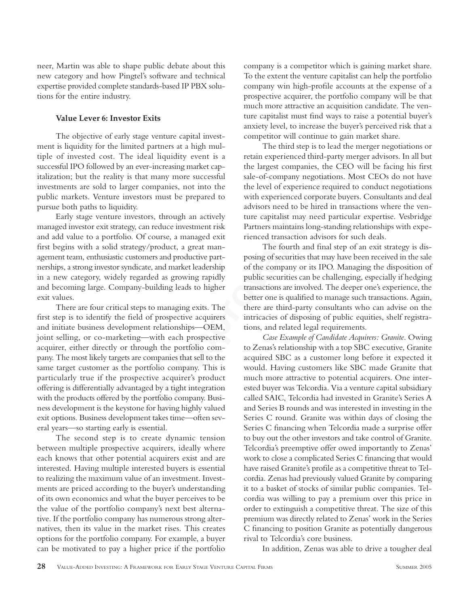neer, Martin was able to shape public debate about this new category and how Pingtel's software and technical expertise provided complete standards-based IP PBX solutions for the entire industry.

# **Value Lever 6: Investor Exits**

The objective of early stage venture capital investment is liquidity for the limited partners at a high multiple of invested cost. The ideal liquidity event is a successful IPO followed by an ever-increasing market capitalization; but the reality is that many more successful investments are sold to larger companies, not into the public markets. Venture investors must be prepared to pursue both paths to liquidity.

Early stage venture investors, through an actively managed investor exit strategy, can reduce investment risk and add value to a portfolio. Of course, a managed exit first begins with a solid strategy/product, a great management team, enthusiastic customers and productive partnerships, a strong investor syndicate, and market leadership in a new category, widely regarded as growing rapidly and becoming large. Company-building leads to higher exit values.

There are four critical steps to managing exits. The first step is to identify the field of prospective acquirers and initiate business development relationships—OEM, joint selling, or co-marketing—with each prospective acquirer, either directly or through the portfolio company. The most likely targets are companies that sell to the same target customer as the portfolio company. This is particularly true if the prospective acquirer's product offering is differentially advantaged by a tight integration with the products offered by the portfolio company. Business development is the keystone for having highly valued exit options. Business development takes time—often several years—so starting early is essential.

The second step is to create dynamic tension between multiple prospective acquirers, ideally where each knows that other potential acquirers exist and are interested. Having multiple interested buyers is essential to realizing the maximum value of an investment. Investments are priced according to the buyer's understanding of its own economics and what the buyer perceives to be the value of the portfolio company's next best alternative. If the portfolio company has numerous strong alternatives, then its value in the market rises. This creates options for the portfolio company. For example, a buyer can be motivated to pay a higher price if the portfolio company is a competitor which is gaining market share. To the extent the venture capitalist can help the portfolio company win high-profile accounts at the expense of a prospective acquirer, the portfolio company will be that much more attractive an acquisition candidate. The venture capitalist must find ways to raise a potential buyer's anxiety level, to increase the buyer's perceived risk that a competitor will continue to gain market share.

The third step is to lead the merger negotiations or retain experienced third-party merger advisors. In all but the largest companies, the CEO will be facing his first sale-of-company negotiations. Most CEOs do not have the level of experience required to conduct negotiations with experienced corporate buyers. Consultants and deal advisors need to be hired in transactions where the venture capitalist may need particular expertise. Vesbridge Partners maintains long-standing relationships with experienced transaction advisors for such deals.

The fourth and final step of an exit strategy is disposing of securities that may have been received in the sale of the company or its IPO. Managing the disposition of public securities can be challenging, especially if hedging transactions are involved. The deeper one's experience, the better one is qualified to manage such transactions. Again, there are third-party consultants who can advise on the intricacies of disposing of public equities, shelf registrations, and related legal requirements.

**F.** The ideal liquidity event is a retain experienced thind-party mengting went is a retain experimented thind party is that many more successful sale-of-company negotiations. Most to larger companies, not into the the le *Case Example of Candidate Acquirers: Granite*. Owing to Zenas's relationship with a top SBC executive, Granite acquired SBC as a customer long before it expected it would. Having customers like SBC made Granite that much more attractive to potential acquirers. One interested buyer was Telcordia. Via a venture capital subsidiary called SAIC, Telcordia had invested in Granite's Series A and Series B rounds and was interested in investing in the Series C round. Granite was within days of closing the Series C financing when Telcordia made a surprise offer to buy out the other investors and take control of Granite. Telcordia's preemptive offer owed importantly to Zenas' work to close a complicated Series C financing that would have raised Granite's profile as a competitive threat to Telcordia. Zenas had previously valued Granite by comparing it to a basket of stocks of similar public companies. Telcordia was willing to pay a premium over this price in order to extinguish a competitive threat. The size of this premium was directly related to Zenas' work in the Series C financing to position Granite as potentially dangerous rival to Telcordia's core business.

In addition, Zenas was able to drive a tougher deal